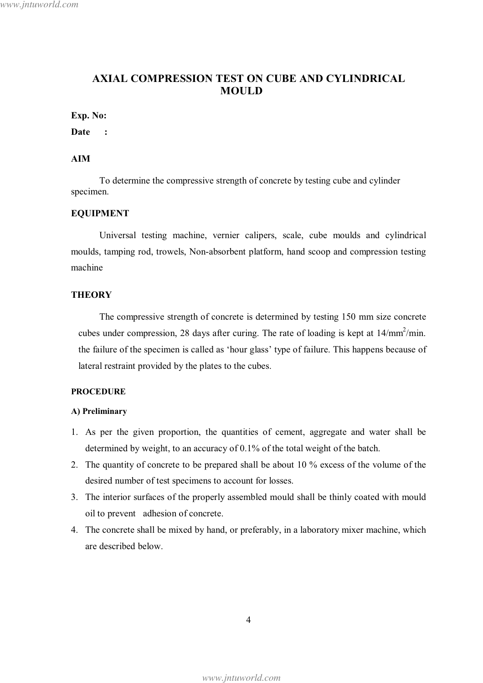# **AXIAL COMPRESSION TEST ON CUBE AND CYLINDRICAL MOULD**

#### Exp. No:

Date :

## **AIM**

To determine the compressive strength of concrete by testing cube and cylinder specimen.

#### **EQUIPMENT**

Universal testing machine, vernier calipers, scale, cube moulds and cylindrical moulds, tamping rod, trowels, Non-absorbent platform, hand scoop and compression testing machine

### **THEORY**

The compressive strength of concrete is determined by testing 150 mm size concrete cubes under compression, 28 days after curing. The rate of loading is kept at  $14/\text{mm}^2/\text{min}$ . the failure of the specimen is called as 'hour glass' type of failure. This happens because of lateral restraint provided by the plates to the cubes.

#### **PROCEDURE**

#### A) Preliminary

- 1. As per the given proportion, the quantities of cement, aggregate and water shall be determined by weight, to an accuracy of  $0.1\%$  of the total weight of the batch.
- 2. The quantity of concrete to be prepared shall be about 10 % excess of the volume of the desired number of test specimens to account for losses.
- 3. The interior surfaces of the properly assembled mould shall be thinly coated with mould oil to prevent adhesion of concrete.
- 4. The concrete shall be mixed by hand, or preferably, in a laboratory mixer machine, which are described below.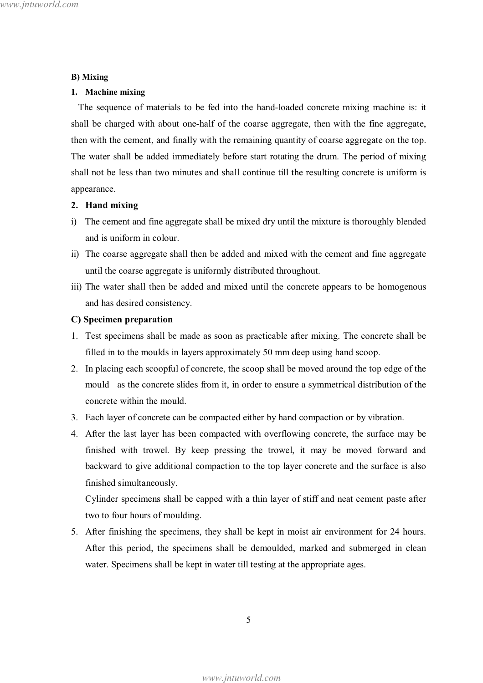#### **B**) Mixing

#### 1. Machine mixing

The sequence of materials to be fed into the hand-loaded concrete mixing machine is: it shall be charged with about one-half of the coarse aggregate, then with the fine aggregate, then with the cement, and finally with the remaining quantity of coarse aggregate on the top. The water shall be added immediately before start rotating the drum. The period of mixing shall not be less than two minutes and shall continue till the resulting concrete is uniform is appearance.

#### 2. Hand mixing

- i) The cement and fine aggregate shall be mixed dry until the mixture is thoroughly blended and is uniform in colour.
- ii) The coarse aggregate shall then be added and mixed with the cement and fine aggregate until the coarse aggregate is uniformly distributed throughout.
- iii) The water shall then be added and mixed until the concrete appears to be homogenous and has desired consistency.

#### C) Specimen preparation

- 1. Test specimens shall be made as soon as practicable after mixing. The concrete shall be filled in to the moulds in layers approximately 50 mm deep using hand scoop.
- 2. In placing each scoopful of concrete, the scoop shall be moved around the top edge of the mould as the concrete slides from it, in order to ensure a symmetrical distribution of the concrete within the mould.
- 3. Each layer of concrete can be compacted either by hand compaction or by vibration.
- 4. After the last layer has been compacted with overflowing concrete, the surface may be finished with trowel. By keep pressing the trowel, it may be moved forward and backward to give additional compaction to the top layer concrete and the surface is also finished simultaneously.

Cylinder specimens shall be capped with a thin layer of stiff and neat cement paste after two to four hours of moulding.

5. After finishing the specimens, they shall be kept in moist air environment for 24 hours. After this period, the specimens shall be demoulded, marked and submerged in clean water. Specimens shall be kept in water till testing at the appropriate ages.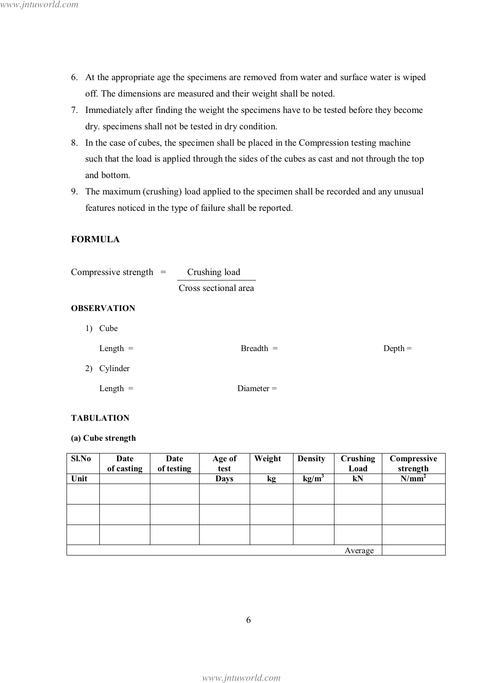- 6. At the appropriate age the specimens are removed from water and surface water is wiped off. The dimensions are measured and their weight shall be noted.
- 7. Immediately after finding the weight the specimens have to be tested before they become dry. specimens shall not be tested in dry condition.
- 8. In the case of cubes, the specimen shall be placed in the Compression testing machine such that the load is applied through the sides of the cubes as cast and not through the top and bottom.
- 9. The maximum (crushing) load applied to the specimen shall be recorded and any unusual features noticed in the type of failure shall be reported.

## **FORMULA**

| Compressive strength $=$ | Crushing load        |           |
|--------------------------|----------------------|-----------|
|                          | Cross sectional area |           |
| <b>OBSERVATION</b>       |                      |           |
| Cube<br>1)               |                      |           |
| Length $=$               | $Breadth =$          | $Depth =$ |
| Cylinder<br>2)           |                      |           |
| Length $=$               | Diameter $=$         |           |

## **TABULATION**

## (a) Cube strength

| Sl.No | Date<br>of casting | Date<br>of testing | Age of<br>test | Weight | <b>Density</b> | Crushing<br>Load | Compressive<br>strength |
|-------|--------------------|--------------------|----------------|--------|----------------|------------------|-------------------------|
| Unit  |                    |                    | <b>Days</b>    | kg     | $kg/m^3$       | kN               | N/mm <sup>2</sup>       |
|       |                    |                    |                |        |                |                  |                         |
|       |                    |                    |                |        |                |                  |                         |
|       |                    |                    |                |        |                |                  |                         |
|       |                    |                    |                |        |                |                  |                         |
|       |                    |                    |                |        |                |                  |                         |
|       |                    |                    |                |        |                |                  |                         |
|       |                    |                    |                |        |                | Average          |                         |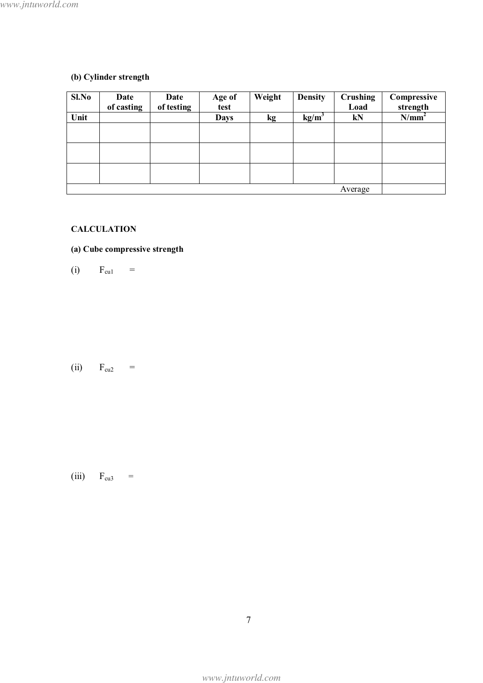# (b) Cylinder strength

| Sl.No | Date<br>of casting | Date<br>of testing | Age of<br>test | Weight    | <b>Density</b>    | <b>Crushing</b><br>Load | Compressive<br>strength |
|-------|--------------------|--------------------|----------------|-----------|-------------------|-------------------------|-------------------------|
| Unit  |                    |                    | <b>Days</b>    | <b>kg</b> | kg/m <sup>3</sup> | kN                      | $N/mm^2$                |
|       |                    |                    |                |           |                   |                         |                         |
|       |                    |                    |                |           |                   |                         |                         |
|       |                    |                    |                |           |                   |                         |                         |
|       |                    |                    |                |           |                   |                         |                         |
|       |                    |                    |                |           |                   |                         |                         |
|       |                    |                    |                |           |                   |                         |                         |
|       | Average            |                    |                |           |                   |                         |                         |

# **CALCULATION**

# (a) Cube compressive strength

 $(i)$  $F_{\rm cu1}$  $\frac{1}{2}$ 

 $(ii)$   $F_{cu2}$  =

(iii)  $F_{cu3} =$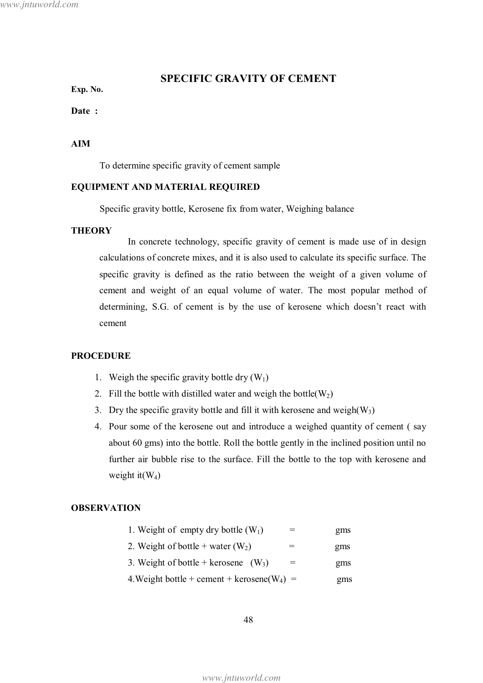## **SPECIFIC GRAVITY OF CEMENT**

Exp. No.

Date:

## **AIM**

To determine specific gravity of cement sample

#### EQUIPMENT AND MATERIAL REQUIRED

Specific gravity bottle, Kerosene fix from water, Weighing balance

#### **THEORY**

In concrete technology, specific gravity of cement is made use of in design calculations of concrete mixes, and it is also used to calculate its specific surface. The specific gravity is defined as the ratio between the weight of a given volume of cement and weight of an equal volume of water. The most popular method of determining, S.G. of cement is by the use of kerosene which doesn't react with cement

### **PROCEDURE**

- 1. Weigh the specific gravity bottle dry  $(W_1)$
- 2. Fill the bottle with distilled water and weigh the bottle( $W_2$ )
- 3. Dry the specific gravity bottle and fill it with kerosene and weigh $(W_3)$
- 4. Pour some of the kerosene out and introduce a weighed quantity of cement (say about 60 gms) into the bottle. Roll the bottle gently in the inclined position until no further air bubble rise to the surface. Fill the bottle to the top with kerosene and weight it  $(W_4)$

#### **OBSERVATION**

| 1. Weight of empty dry bottle $(W_1)$           | gms |
|-------------------------------------------------|-----|
| 2. Weight of bottle + water $(W_2)$             | gms |
| 3. Weight of bottle + kerosene $(W_3)$          | gms |
| 4. Weight bottle + cement + kerosene( $W_4$ ) = | gms |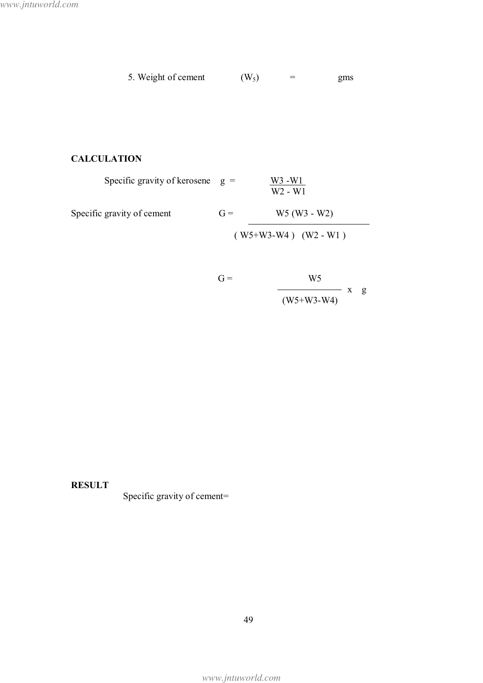| 5. Weight of cement | $(W_5)$ | gms |
|---------------------|---------|-----|
|                     |         |     |

# **CALCULATION**

| Specific gravity of kerosene $g =$ |       | $W3 - W1$<br>W <sub>2</sub> - W <sub>1</sub> |
|------------------------------------|-------|----------------------------------------------|
| Specific gravity of cement         | $G =$ | $W5(W3 - W2)$                                |
|                                    |       | $(W5+W3-W4)$ $(W2-W1)$                       |
|                                    |       |                                              |

$$
G = \frac{W5}{(W5 + W3 - W4)} \times g
$$

**RESULT** 

Specific gravity of cement=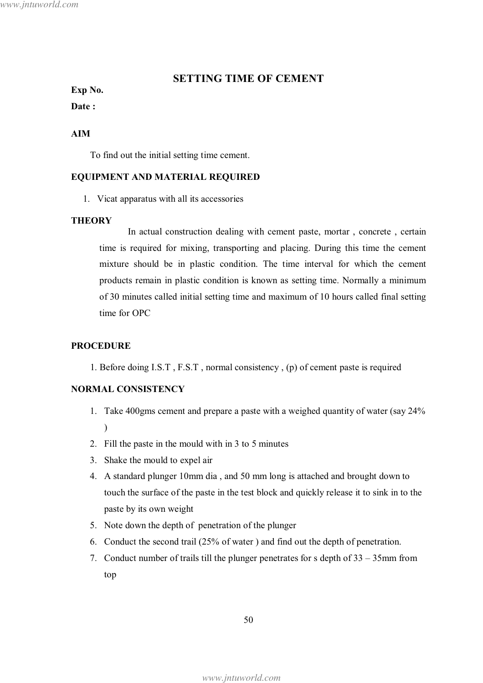## **SETTING TIME OF CEMENT**

## Exp No.

## Date:

### **AIM**

To find out the initial setting time cement.

#### **EQUIPMENT AND MATERIAL REQUIRED**

1. Vicat apparatus with all its accessories

#### **THEORY**

In actual construction dealing with cement paste, mortar, concrete, certain time is required for mixing, transporting and placing. During this time the cement mixture should be in plastic condition. The time interval for which the cement products remain in plastic condition is known as setting time. Normally a minimum of 30 minutes called initial setting time and maximum of 10 hours called final setting time for OPC

#### **PROCEDURE**

1. Before doing I.S.T, F.S.T, normal consistency, (p) of cement paste is required

## **NORMAL CONSISTENCY**

- 1. Take 400gms cement and prepare a paste with a weighed quantity of water (say 24%)  $\mathcal{L}$
- 2. Fill the paste in the mould with in 3 to 5 minutes
- 3. Shake the mould to expel air
- 4. A standard plunger 10mm dia, and 50 mm long is attached and brought down to touch the surface of the paste in the test block and quickly release it to sink in to the paste by its own weight
- 5. Note down the depth of penetration of the plunger
- 6. Conduct the second trail (25% of water) and find out the depth of penetration.
- 7. Conduct number of trails till the plunger penetrates for s depth of  $33 35$  mm from top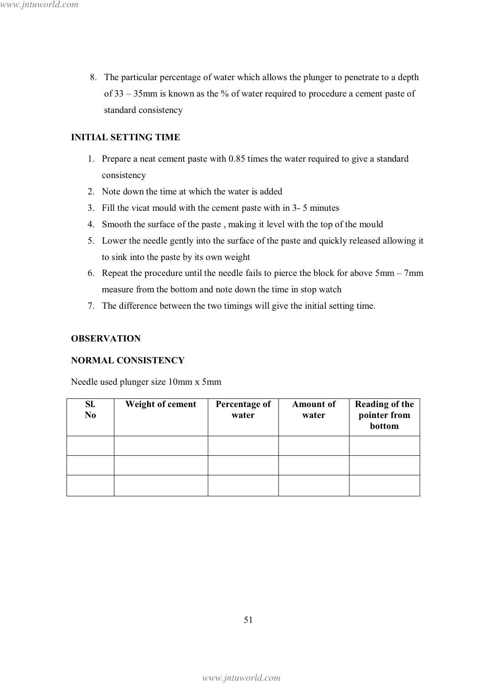8. The particular percentage of water which allows the plunger to penetrate to a depth of  $33 - 35$ mm is known as the % of water required to procedure a cement paste of standard consistency

## **INITIAL SETTING TIME**

- 1. Prepare a neat cement paste with 0.85 times the water required to give a standard consistency
- 2. Note down the time at which the water is added
- 3. Fill the vicat mould with the cement paste with in 3-5 minutes
- 4. Smooth the surface of the paste, making it level with the top of the mould
- 5. Lower the needle gently into the surface of the paste and quickly released allowing it to sink into the paste by its own weight
- 6. Repeat the procedure until the needle fails to pierce the block for above  $5 \text{mm} 7 \text{mm}$ measure from the bottom and note down the time in stop watch
- 7. The difference between the two timings will give the initial setting time.

## **OBSERVATION**

## **NORMAL CONSISTENCY**

Needle used plunger size 10mm x 5mm

| SI.<br>N <sub>0</sub> | <b>Weight of cement</b> | Percentage of<br>water | <b>Amount of</b><br>water | <b>Reading of the</b><br>pointer from<br>bottom |
|-----------------------|-------------------------|------------------------|---------------------------|-------------------------------------------------|
|                       |                         |                        |                           |                                                 |
|                       |                         |                        |                           |                                                 |
|                       |                         |                        |                           |                                                 |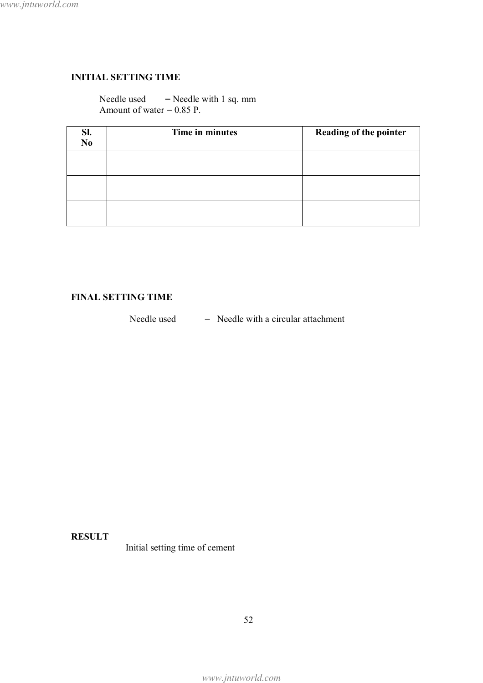## **INITIAL SETTING TIME**

Needle used  $=$  Needle with 1 sq. mm Amount of water =  $0.85$  P.

| Sl.<br>N <sub>0</sub> | Time in minutes | Reading of the pointer |
|-----------------------|-----------------|------------------------|
|                       |                 |                        |
|                       |                 |                        |
|                       |                 |                        |

## **FINAL SETTING TIME**

Needle used  $=$  Needle with a circular attachment

**RESULT** 

Initial setting time of cement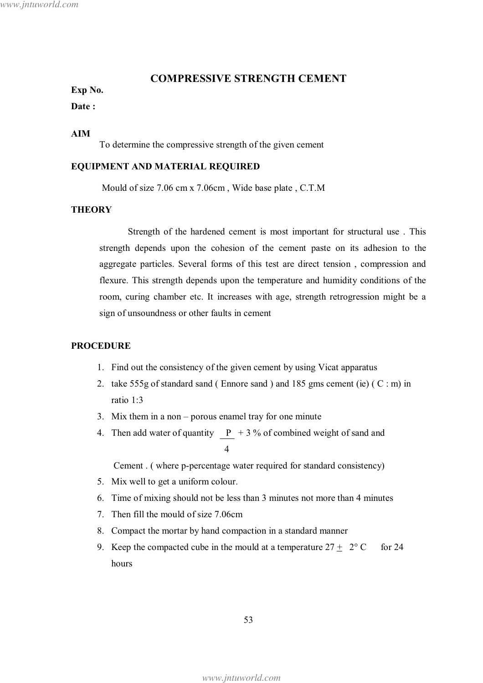### **COMPRESSIVE STRENGTH CEMENT**

## Exp No.

#### Date:

### **AIM**

To determine the compressive strength of the given cement

#### EQUIPMENT AND MATERIAL REQUIRED

Mould of size 7.06 cm x 7.06cm, Wide base plate, C.T.M

#### **THEORY**

Strength of the hardened cement is most important for structural use. This strength depends upon the cohesion of the cement paste on its adhesion to the aggregate particles. Several forms of this test are direct tension, compression and flexure. This strength depends upon the temperature and humidity conditions of the room, curing chamber etc. It increases with age, strength retrogression might be a sign of unsoundness or other faults in cement

#### **PROCEDURE**

- 1. Find out the consistency of the given cement by using Vicat apparatus
- 2. take 555g of standard sand (Ennore sand) and 185 gms cement (ie) ( $C : m$ ) in ratio 1:3
- 3. Mix them in a non  $-$  porous enamel tray for one minute
- 4. Then add water of quantity  $\underline{P}$  + 3 % of combined weight of sand and

Cement. (where p-percentage water required for standard consistency)

- 5. Mix well to get a uniform colour.
- 6. Time of mixing should not be less than 3 minutes not more than 4 minutes
- 7. Then fill the mould of size 7.06cm
- 8. Compact the mortar by hand compaction in a standard manner
- 9. Keep the compacted cube in the mould at a temperature  $27 \pm 2^{\circ}$  C for  $24$ hours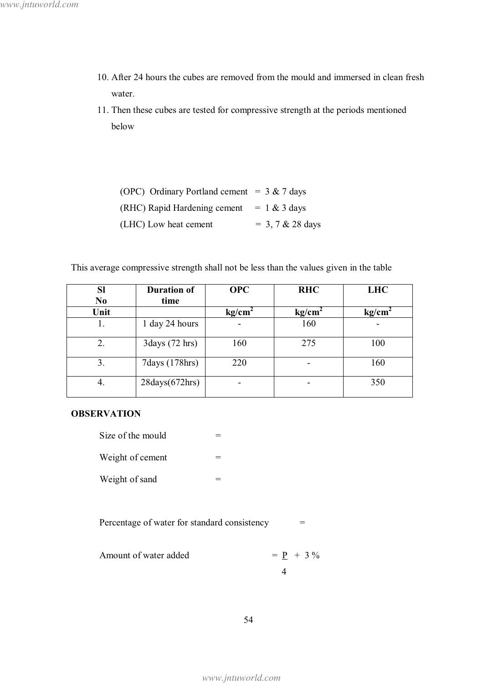- 10. After 24 hours the cubes are removed from the mould and immersed in clean fresh water.
- 11. Then these cubes are tested for compressive strength at the periods mentioned below

| (OPC) Ordinary Portland cement = $3 & 7$ days |                         |
|-----------------------------------------------|-------------------------|
| (RHC) Rapid Hardening cement                  | $= 1 \& 3 \text{ days}$ |
| (LHC) Low heat cement                         | $= 3, 7 & 28$ days      |

This average compressive strength shall not be less than the values given in the table

| <b>Sl</b>      | <b>Duration of</b>                | <b>OPC</b>         | <b>RHC</b>         | <b>LHC</b>         |
|----------------|-----------------------------------|--------------------|--------------------|--------------------|
| N <sub>0</sub> | time                              |                    |                    |                    |
| Unit           |                                   | kg/cm <sup>2</sup> | kg/cm <sup>2</sup> | kg/cm <sup>2</sup> |
| 1.             | 1 day 24 hours                    |                    | 160                |                    |
| 2.             | 3 days (72 hrs)                   | 160                | 275                | 100                |
| 3.             | 7 days (178 hrs)                  | 220                |                    | 160                |
| 4.             | $28 \text{days} (672 \text{hrs})$ |                    |                    | 350                |

## **OBSERVATION**

| Size of the mould |  |
|-------------------|--|
| Weight of cement  |  |
| Weight of sand    |  |

Percentage of water for standard consistency  $\hspace{1.6cm} = \hspace{1.6cm}$ 

Amount of water added 
$$
= \underline{P} + 3\%
$$

www.jntuworld.com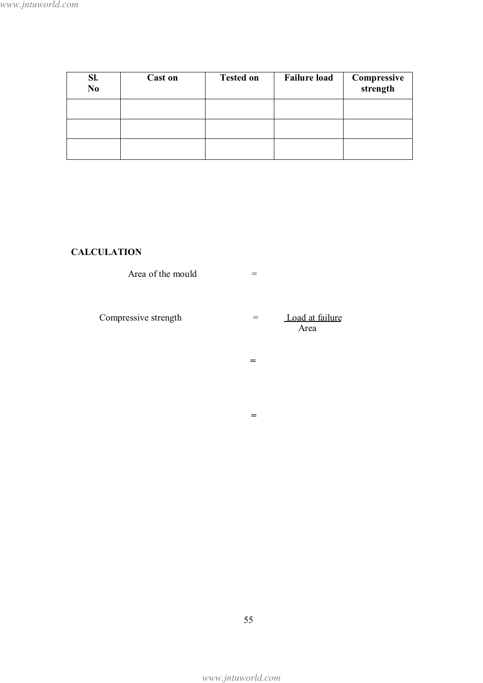| Sl.<br>N <sub>0</sub> | <b>Cast on</b> | <b>Tested on</b> | <b>Failure load</b> | Compressive<br>strength |
|-----------------------|----------------|------------------|---------------------|-------------------------|
|                       |                |                  |                     |                         |
|                       |                |                  |                     |                         |
|                       |                |                  |                     |                         |

# **CALCULATION**

| Area of the mould    | ᆖ   |                         |
|----------------------|-----|-------------------------|
| Compressive strength | $=$ | Load at failure<br>Area |
|                      | =   |                         |
|                      |     |                         |

 $\, = \,$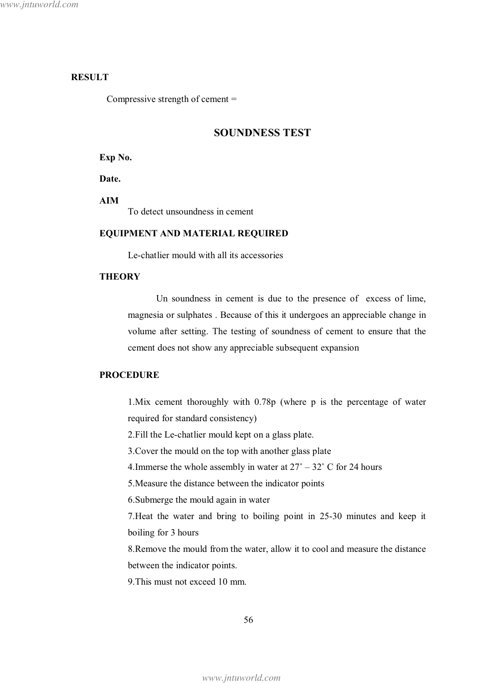## **RESULT**

Compressive strength of cement  $=$ 

### **SOUNDNESS TEST**

Exp No.

Date.

**AIM** 

To detect unsoundness in cement

#### EQUIPMENT AND MATERIAL REQUIRED

Le-chatlier mould with all its accessories

### **THEORY**

Un soundness in cement is due to the presence of excess of lime, magnesia or sulphates. Because of this it undergoes an appreciable change in volume after setting. The testing of soundness of cement to ensure that the cement does not show any appreciable subsequent expansion

#### **PROCEDURE**

1. Mix cement thoroughly with 0.78p (where p is the percentage of water required for standard consistency)

2. Fill the Le-chatlier mould kept on a glass plate.

3. Cover the mould on the top with another glass plate

4. Immerse the whole assembly in water at  $27^{\circ} - 32^{\circ}$  C for 24 hours

5. Measure the distance between the indicator points

6. Submerge the mould again in water

7. Heat the water and bring to boiling point in 25-30 minutes and keep it boiling for 3 hours

8. Remove the mould from the water, allow it to cool and measure the distance between the indicator points.

9. This must not exceed 10 mm.